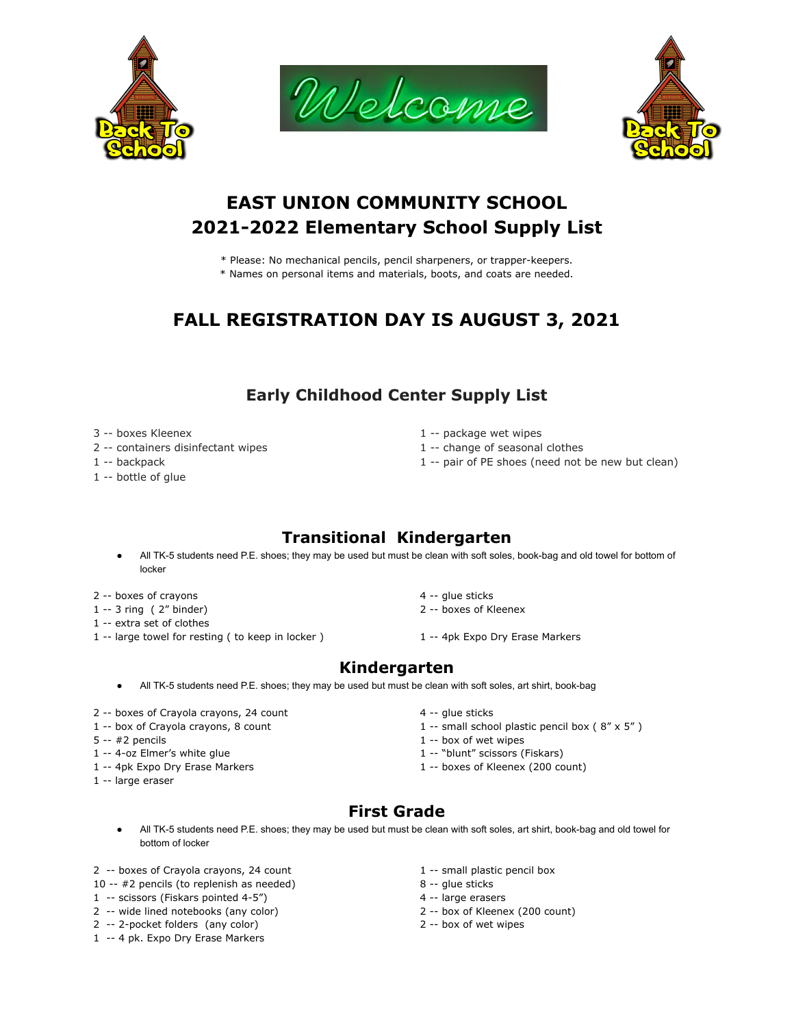





# **EAST UNION COMMUNITY SCHOOL 2021-2022 Elementary School Supply List**

- \* Please: No mechanical pencils, pencil sharpeners, or trapper-keepers.
- \* Names on personal items and materials, boots, and coats are needed.

# **FALL REGISTRATION DAY IS AUGUST 3, 2021**

#### **Early Childhood Center Supply List**

- 
- 2 -- containers disinfectant wipes 1 -- change of seasonal clothes
- 
- 1 -- bottle of glue
- 3 -- boxes Kleenex 1 -- package wet wipes
	-
- 1 -- backpack 1 -- pair of PE shoes (need not be new but clean)

# **Transitional Kindergarten**

- All TK-5 students need P.E. shoes; they may be used but must be clean with soft soles, book-bag and old towel for bottom of locker
- 2 -- boxes of crayons 2 --  $\frac{1}{2}$  -- glue sticks
- 1 -- 3 ring ( 2" binder) 2 -- boxes of Kleenex
- 1 -- extra set of clothes
- 1 -- large towel for resting ( to keep in locker ) 1 -- 4pk Expo Dry Erase Markers
- 
- -

#### **Kindergarten**

- All TK-5 students need P.E. shoes; they may be used but must be clean with soft soles, art shirt, book-bag
- 2 -- boxes of Crayola crayons, 24 count 4 -- glue sticks
- 
- 
- 1 -- 4-oz Elmer's white glue 1 -- "blunt" scissors (Fiskars)
- 
- 1 -- large eraser
- 
- 1 -- box of Crayola crayons, 8 count 1 -- small school plastic pencil box ( 8" x 5" )
- $5 2$  pencils  $1 2$  box of wet wipes
	-
- 1 -- 4pk Expo Dry Erase Markers 1 -- boxes of Kleenex (200 count)

# **First Grade**

- All TK-5 students need P.E. shoes; they may be used but must be clean with soft soles, art shirt, book-bag and old towel for bottom of locker
- 2 -- boxes of Crayola crayons, 24 count 1 -- small plastic pencil box
- 10 -- #2 pencils (to replenish as needed) 8 -- glue sticks
- 1 -- scissors (Fiskars pointed 4-5") 4 -- large erasers
- 2 -- wide lined notebooks (any color) 2 -- box of Kleenex (200 count)
- 2 -- 2-pocket folders (any color) 2 -- box of wet wipes
- 1 -- 4 pk. Expo Dry Erase Markers
- 
- 
- 
- 
-